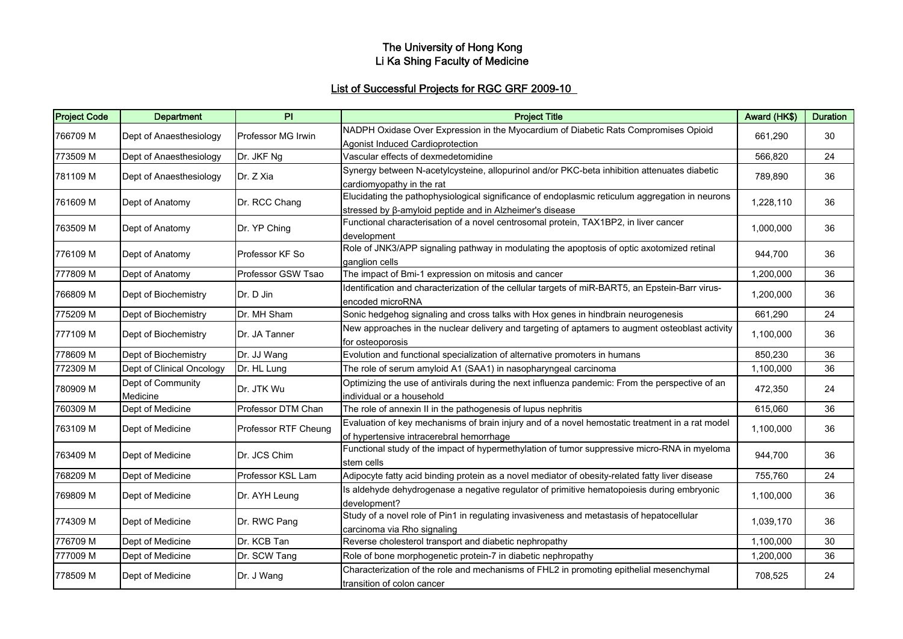#### The University of Hong Kong Li Ka Shing Faculty of Medicine

# List of Successful Projects for RGC GRF 2009-10

| <b>Project Code</b> | <b>Department</b>             | PI                   | <b>Project Title</b>                                                                                                                                               | Award (HK\$) | <b>Duration</b> |
|---------------------|-------------------------------|----------------------|--------------------------------------------------------------------------------------------------------------------------------------------------------------------|--------------|-----------------|
| 766709 M            | Dept of Anaesthesiology       | Professor MG Irwin   | NADPH Oxidase Over Expression in the Myocardium of Diabetic Rats Compromises Opioid<br>Agonist Induced Cardioprotection                                            | 661,290      | 30              |
| 773509 M            | Dept of Anaesthesiology       | Dr. JKF Ng           | Vascular effects of dexmedetomidine                                                                                                                                | 566,820      | 24              |
| 781109 M            | Dept of Anaesthesiology       | Dr. Z Xia            | Synergy between N-acetylcysteine, allopurinol and/or PKC-beta inhibition attenuates diabetic<br>cardiomyopathy in the rat                                          | 789,890      | 36              |
| 761609 M            | Dept of Anatomy               | Dr. RCC Chang        | Elucidating the pathophysiological significance of endoplasmic reticulum aggregation in neurons<br>stressed by $\beta$ -amyloid peptide and in Alzheimer's disease | 1,228,110    | 36              |
| 763509 M            | Dept of Anatomy               | Dr. YP Ching         | Functional characterisation of a novel centrosomal protein, TAX1BP2, in liver cancer<br>development                                                                | 1,000,000    | 36              |
| 776109 M            | Dept of Anatomy               | Professor KF So      | Role of JNK3/APP signaling pathway in modulating the apoptosis of optic axotomized retinal<br>ganglion cells                                                       | 944,700      | 36              |
| 777809 M            | Dept of Anatomy               | Professor GSW Tsao   | The impact of Bmi-1 expression on mitosis and cancer                                                                                                               | 1,200,000    | 36              |
| 766809 M            | Dept of Biochemistry          | Dr. D Jin            | Identification and characterization of the cellular targets of miR-BART5, an Epstein-Barr virus-<br>encoded microRNA                                               | 1,200,000    | 36              |
| 775209 M            | Dept of Biochemistry          | Dr. MH Sham          | Sonic hedgehog signaling and cross talks with Hox genes in hindbrain neurogenesis                                                                                  | 661,290      | 24              |
| 777109 M            | Dept of Biochemistry          | Dr. JA Tanner        | New approaches in the nuclear delivery and targeting of aptamers to augment osteoblast activity<br>for osteoporosis                                                | 1,100,000    | 36              |
| 778609 M            | Dept of Biochemistry          | Dr. JJ Wang          | Evolution and functional specialization of alternative promoters in humans                                                                                         | 850,230      | 36              |
| 772309 M            | Dept of Clinical Oncology     | Dr. HL Lung          | The role of serum amyloid A1 (SAA1) in nasopharyngeal carcinoma                                                                                                    | 1,100,000    | 36              |
| 780909 M            | Dept of Community<br>Medicine | Dr. JTK Wu           | Optimizing the use of antivirals during the next influenza pandemic: From the perspective of an<br>individual or a household                                       | 472,350      | 24              |
| 760309 M            | Dept of Medicine              | Professor DTM Chan   | The role of annexin II in the pathogenesis of lupus nephritis                                                                                                      | 615,060      | 36              |
| 763109 M            | Dept of Medicine              | Professor RTF Cheung | Evaluation of key mechanisms of brain injury and of a novel hemostatic treatment in a rat model<br>of hypertensive intracerebral hemorrhage                        | 1,100,000    | 36              |
| 763409 M            | Dept of Medicine              | Dr. JCS Chim         | Functional study of the impact of hypermethylation of tumor suppressive micro-RNA in myeloma<br>stem cells                                                         | 944,700      | 36              |
| 768209 M            | Dept of Medicine              | Professor KSL Lam    | Adipocyte fatty acid binding protein as a novel mediator of obesity-related fatty liver disease                                                                    | 755,760      | 24              |
| 769809 M            | Dept of Medicine              | Dr. AYH Leung        | Is aldehyde dehydrogenase a negative regulator of primitive hematopoiesis during embryonic<br>development?                                                         | 1,100,000    | 36              |
| 774309 M            | Dept of Medicine              | Dr. RWC Pang         | Study of a novel role of Pin1 in regulating invasiveness and metastasis of hepatocellular<br>carcinoma via Rho signaling                                           | 1,039,170    | 36              |
| 776709 M            | Dept of Medicine              | Dr. KCB Tan          | Reverse cholesterol transport and diabetic nephropathy                                                                                                             | 1,100,000    | 30              |
| 777009 M            | Dept of Medicine              | Dr. SCW Tang         | Role of bone morphogenetic protein-7 in diabetic nephropathy                                                                                                       | 1,200,000    | 36              |
| 778509 M            | Dept of Medicine              | Dr. J Wang           | Characterization of the role and mechanisms of FHL2 in promoting epithelial mesenchymal<br>transition of colon cancer                                              | 708,525      | 24              |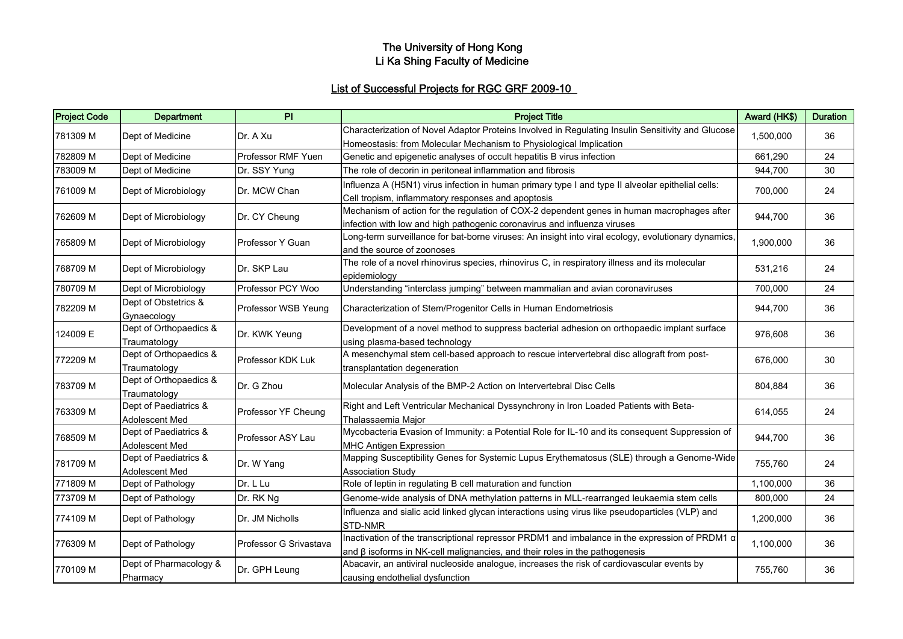#### The University of Hong Kong Li Ka Shing Faculty of Medicine

# List of Successful Projects for RGC GRF 2009-10

| <b>Project Code</b> | <b>Department</b>                  | PI                     | <b>Project Title</b>                                                                                | Award (HK\$) | <b>Duration</b> |
|---------------------|------------------------------------|------------------------|-----------------------------------------------------------------------------------------------------|--------------|-----------------|
| 781309 M            | Dept of Medicine                   | Dr. A Xu               | Characterization of Novel Adaptor Proteins Involved in Regulating Insulin Sensitivity and Glucose   | 1,500,000    | 36              |
|                     |                                    |                        | Homeostasis: from Molecular Mechanism to Physiological Implication                                  |              |                 |
| 782809 M            | Dept of Medicine                   | Professor RMF Yuen     | Genetic and epigenetic analyses of occult hepatitis B virus infection                               | 661,290      | 24              |
| 783009 M            | Dept of Medicine                   | Dr. SSY Yung           | The role of decorin in peritoneal inflammation and fibrosis                                         | 944,700      | 30              |
| 761009 M            | Dept of Microbiology               | Dr. MCW Chan           | Influenza A (H5N1) virus infection in human primary type I and type II alveolar epithelial cells:   | 700,000      | 24              |
|                     |                                    |                        | Cell tropism, inflammatory responses and apoptosis                                                  |              |                 |
| 762609 M            | Dept of Microbiology               | Dr. CY Cheung          | Mechanism of action for the regulation of COX-2 dependent genes in human macrophages after          | 944,700      | 36              |
|                     |                                    |                        | infection with low and high pathogenic coronavirus and influenza viruses                            |              |                 |
| 765809 M            | Dept of Microbiology               | Professor Y Guan       | Long-term surveillance for bat-borne viruses: An insight into viral ecology, evolutionary dynamics, | 1,900,000    | 36              |
|                     |                                    |                        | and the source of zoonoses                                                                          |              |                 |
| 768709 M            | Dept of Microbiology               | Dr. SKP Lau            | The role of a novel rhinovirus species, rhinovirus C, in respiratory illness and its molecular      | 531,216      | 24              |
|                     |                                    |                        | epidemiology                                                                                        |              |                 |
| 780709 M            | Dept of Microbiology               | Professor PCY Woo      | Understanding "interclass jumping" between mammalian and avian coronaviruses                        | 700,000      | 24              |
| 782209 M            | Dept of Obstetrics &               | Professor WSB Yeung    | Characterization of Stem/Progenitor Cells in Human Endometriosis                                    | 944,700      | 36              |
|                     | Gynaecology                        |                        |                                                                                                     |              |                 |
| 124009 E            | Dept of Orthopaedics &             | Dr. KWK Yeung          | Development of a novel method to suppress bacterial adhesion on orthopaedic implant surface         | 976,608      | 36              |
|                     | Traumatology                       |                        | using plasma-based technology                                                                       |              |                 |
| 772209 M            | Dept of Orthopaedics &             | Professor KDK Luk      | A mesenchymal stem cell-based approach to rescue intervertebral disc allograft from post-           | 676,000      | 30              |
|                     | Traumatology                       |                        | transplantation degeneration                                                                        |              |                 |
| 783709 M            | Dept of Orthopaedics &             | Dr. G Zhou             | Molecular Analysis of the BMP-2 Action on Intervertebral Disc Cells                                 | 804,884      | 36              |
|                     | Traumatology                       |                        |                                                                                                     |              |                 |
| 763309 M            | Dept of Paediatrics &              | Professor YF Cheung    | Right and Left Ventricular Mechanical Dyssynchrony in Iron Loaded Patients with Beta-               | 614,055      | 24              |
|                     | Adolescent Med                     |                        | Thalassaemia Major                                                                                  |              |                 |
| 768509 M            | Dept of Paediatrics &              | Professor ASY Lau      | Mycobacteria Evasion of Immunity: a Potential Role for IL-10 and its consequent Suppression of      | 944,700      | 36              |
|                     | Adolescent Med                     |                        | <b>MHC Antigen Expression</b>                                                                       |              |                 |
| 781709 M            | Dept of Paediatrics &              | Dr. W Yang             | Mapping Susceptibility Genes for Systemic Lupus Erythematosus (SLE) through a Genome-Wide           | 755,760      | 24              |
|                     | Adolescent Med                     |                        | <b>Association Study</b>                                                                            |              |                 |
| 771809 M            | Dept of Pathology                  | Dr. L Lu               | Role of leptin in regulating B cell maturation and function                                         | 1,100,000    | 36              |
| 773709 M            | Dept of Pathology                  | Dr. RK Ng              | Genome-wide analysis of DNA methylation patterns in MLL-rearranged leukaemia stem cells             | 800,000      | 24              |
| 774109 M            | Dept of Pathology                  | Dr. JM Nicholls        | Influenza and sialic acid linked glycan interactions using virus like pseudoparticles (VLP) and     | 1,200,000    | 36              |
|                     |                                    |                        | STD-NMR                                                                                             |              |                 |
| 776309 M            | Dept of Pathology                  | Professor G Srivastava | Inactivation of the transcriptional repressor PRDM1 and imbalance in the expression of PRDM1 a      | 1,100,000    | 36              |
|                     |                                    |                        | and $\beta$ isoforms in NK-cell malignancies, and their roles in the pathogenesis                   |              |                 |
| 770109 M            | Dept of Pharmacology &<br>Pharmacy | Dr. GPH Leung          | Abacavir, an antiviral nucleoside analogue, increases the risk of cardiovascular events by          | 755,760      | 36              |
|                     |                                    |                        | causing endothelial dysfunction                                                                     |              |                 |